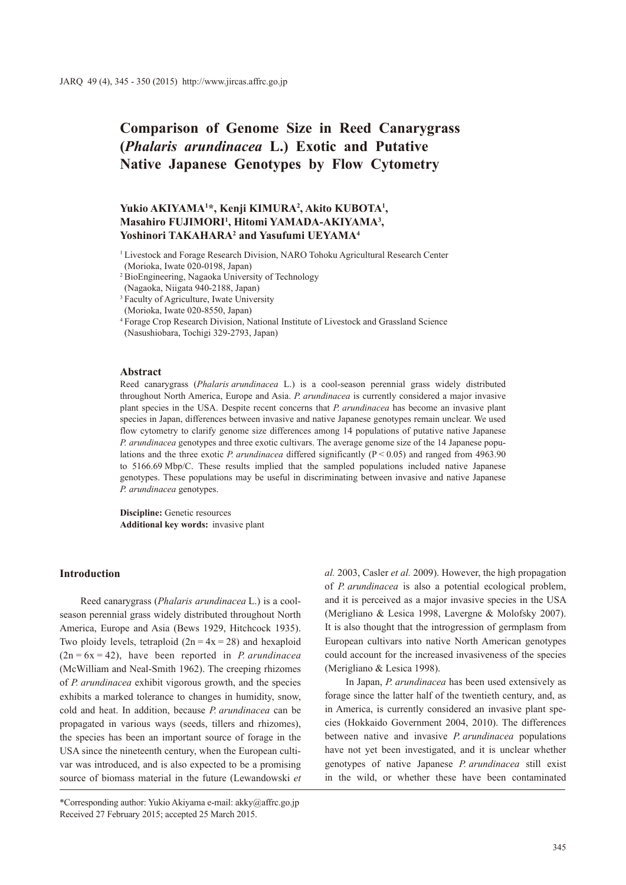# **Comparison of Genome Size in Reed Canarygrass (***Phalaris arundinacea* **L.) Exotic and Putative Native Japanese Genotypes by Flow Cytometry**

# **Yukio AKIYAMA1 \*, Kenji KIMURA2 , Akito KUBOTA1 , Masahiro FUJIMORI1 , Hitomi YAMADA-AKIYAMA3 , Yoshinori TAKAHARA2 and Yasufumi UEYAMA4**

<sup>1</sup> Livestock and Forage Research Division, NARO Tohoku Agricultural Research Center (Morioka, Iwate 020-0198, Japan)

- <sup>2</sup> BioEngineering, Nagaoka University of Technology (Nagaoka, Niigata 940-2188, Japan)
- <sup>3</sup> Faculty of Agriculture, Iwate University (Morioka, Iwate 020-8550, Japan)

### **Abstract**

Reed canarygrass (*Phalaris arundinacea* L.) is a cool-season perennial grass widely distributed throughout North America, Europe and Asia. *P. arundinacea* is currently considered a major invasive plant species in the USA. Despite recent concerns that *P. arundinacea* has become an invasive plant species in Japan, differences between invasive and native Japanese genotypes remain unclear. We used flow cytometry to clarify genome size differences among 14 populations of putative native Japanese *P. arundinacea* genotypes and three exotic cultivars. The average genome size of the 14 Japanese populations and the three exotic *P. arundinacea* differed significantly ( $P < 0.05$ ) and ranged from 4963.90 to 5166.69 Mbp/C. These results implied that the sampled populations included native Japanese genotypes. These populations may be useful in discriminating between invasive and native Japanese *P. arundinacea* genotypes.

**Discipline:** Genetic resources **Additional key words:** invasive plant

# **Introduction**

Reed canarygrass (*Phalaris arundinacea* L.) is a coolseason perennial grass widely distributed throughout North America, Europe and Asia (Bews 1929, Hitchcock 1935). Two ploidy levels, tetraploid  $(2n = 4x = 28)$  and hexaploid (2n = 6x = 42), have been reported in *P. arundinacea* (McWilliam and Neal-Smith 1962). The creeping rhizomes of *P. arundinacea* exhibit vigorous growth, and the species exhibits a marked tolerance to changes in humidity, snow, cold and heat. In addition, because *P. arundinacea* can be propagated in various ways (seeds, tillers and rhizomes), the species has been an important source of forage in the USA since the nineteenth century, when the European cultivar was introduced, and is also expected to be a promising source of biomass material in the future (Lewandowski *et*  *al.* 2003, Casler *et al.* 2009). However, the high propagation of *P. arundinacea* is also a potential ecological problem, and it is perceived as a major invasive species in the USA (Merigliano & Lesica 1998, Lavergne & Molofsky 2007). It is also thought that the introgression of germplasm from European cultivars into native North American genotypes could account for the increased invasiveness of the species (Merigliano & Lesica 1998).

In Japan, *P. arundinacea* has been used extensively as forage since the latter half of the twentieth century, and, as in America, is currently considered an invasive plant species (Hokkaido Government 2004, 2010). The differences between native and invasive *P. arundinacea* populations have not yet been investigated, and it is unclear whether genotypes of native Japanese *P. arundinacea* still exist in the wild, or whether these have been contaminated

<sup>4</sup> Forage Crop Research Division, National Institute of Livestock and Grassland Science (Nasushiobara, Tochigi 329-2793, Japan)

<sup>\*</sup>Corresponding author: Yukio Akiyama e-mail: akky@affrc.go.jp Received 27 February 2015; accepted 25 March 2015.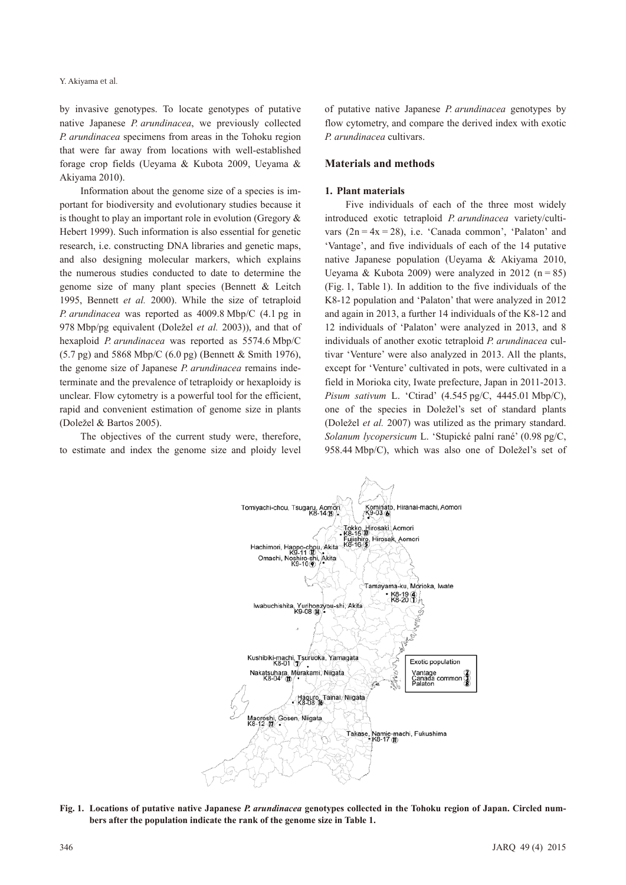by invasive genotypes. To locate genotypes of putative native Japanese *P. arundinacea*, we previously collected *P. arundinacea* specimens from areas in the Tohoku region that were far away from locations with well-established forage crop fields (Ueyama & Kubota 2009, Ueyama & Akiyama 2010).

Information about the genome size of a species is important for biodiversity and evolutionary studies because it is thought to play an important role in evolution (Gregory & Hebert 1999). Such information is also essential for genetic research, i.e. constructing DNA libraries and genetic maps, and also designing molecular markers, which explains the numerous studies conducted to date to determine the genome size of many plant species (Bennett & Leitch 1995, Bennett *et al.* 2000). While the size of tetraploid *P. arundinacea* was reported as 4009.8 Mbp/C (4.1 pg in 978 Mbp/pg equivalent (Doležel *et al.* 2003)), and that of hexaploid *P. arundinacea* was reported as 5574.6 Mbp/C (5.7 pg) and 5868 Mbp/C (6.0 pg) (Bennett & Smith 1976), the genome size of Japanese *P. arundinacea* remains indeterminate and the prevalence of tetraploidy or hexaploidy is unclear. Flow cytometry is a powerful tool for the efficient, rapid and convenient estimation of genome size in plants (Doležel & Bartos 2005).

The objectives of the current study were, therefore, to estimate and index the genome size and ploidy level

of putative native Japanese *P. arundinacea* genotypes by flow cytometry, and compare the derived index with exotic *P. arundinacea* cultivars.

# **Materials and methods**

#### **1. Plant materials**

Five individuals of each of the three most widely introduced exotic tetraploid *P. arundinacea* variety/cultivars  $(2n = 4x = 28)$ , i.e. 'Canada common', 'Palaton' and 'Vantage', and five individuals of each of the 14 putative native Japanese population (Ueyama & Akiyama 2010, Ueyama & Kubota 2009) were analyzed in 2012  $(n = 85)$ (Fig. 1, Table 1). In addition to the five individuals of the K8-12 population and 'Palaton' that were analyzed in 2012 and again in 2013, a further 14 individuals of the K8-12 and 12 individuals of 'Palaton' were analyzed in 2013, and 8 individuals of another exotic tetraploid *P. arundinacea* cultivar 'Venture' were also analyzed in 2013. All the plants, except for 'Venture' cultivated in pots, were cultivated in a field in Morioka city, Iwate prefecture, Japan in 2011-2013. *Pisum sativum* L. 'Ctirad' (4.545 pg/C, 4445.01 Mbp/C), one of the species in Doležel's set of standard plants (Doležel *et al.* 2007) was utilized as the primary standard. *Solanum lycopersicum* L. 'Stupické palní rané' (0.98 pg/C, 958.44 Mbp/C), which was also one of Doležel's set of



**Fig. 1. Locations of putative native Japanese** *P. arundinacea* **genotypes collected in the Tohoku region of Japan. Circled numbers after the population indicate the rank of the genome size in Table 1.**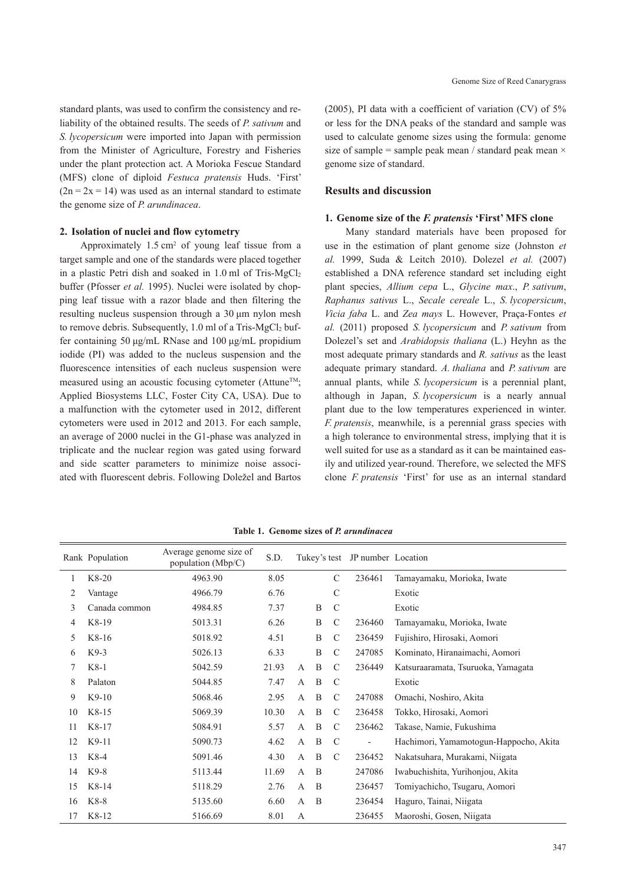standard plants, was used to confirm the consistency and reliability of the obtained results. The seeds of *P. sativum* and *S. lycopersicum* were imported into Japan with permission from the Minister of Agriculture, Forestry and Fisheries under the plant protection act. A Morioka Fescue Standard (MFS) clone of diploid *Festuca pratensis* Huds. 'First'  $(2n = 2x = 14)$  was used as an internal standard to estimate the genome size of *P. arundinacea*.

#### **2. Isolation of nuclei and flow cytometry**

Approximately  $1.5 \text{ cm}^2$  of young leaf tissue from a target sample and one of the standards were placed together in a plastic Petri dish and soaked in  $1.0$  ml of Tris-MgCl<sub>2</sub> buffer (Pfosser *et al.* 1995). Nuclei were isolated by chopping leaf tissue with a razor blade and then filtering the resulting nucleus suspension through a 30 μm nylon mesh to remove debris. Subsequently,  $1.0$  ml of a Tris-MgCl<sub>2</sub> buffer containing 50 μg/mL RNase and 100 μg/mL propidium iodide (PI) was added to the nucleus suspension and the fluorescence intensities of each nucleus suspension were measured using an acoustic focusing cytometer (Attune<sup>TM</sup>; Applied Biosystems LLC, Foster City CA, USA). Due to a malfunction with the cytometer used in 2012, different cytometers were used in 2012 and 2013. For each sample, an average of 2000 nuclei in the G1-phase was analyzed in triplicate and the nuclear region was gated using forward and side scatter parameters to minimize noise associated with fluorescent debris. Following Doležel and Bartos (2005), PI data with a coefficient of variation (CV) of 5% or less for the DNA peaks of the standard and sample was used to calculate genome sizes using the formula: genome size of sample = sample peak mean / standard peak mean  $\times$ genome size of standard.

# **Results and discussion**

#### **1. Genome size of the** *F. pratensis* **'First' MFS clone**

Many standard materials have been proposed for use in the estimation of plant genome size (Johnston *et al.* 1999, Suda & Leitch 2010). Dolezel *et al.* (2007) established a DNA reference standard set including eight plant species, *Allium cepa* L., *Glycine max*., *P. sativum*, *Raphanus sativus* L., *Secale cereale* L., *S. lycopersicum*, *Vicia faba* L. and *Zea mays* L. However, Praça-Fontes *et al.* (2011) proposed *S. lycopersicum* and *P. sativum* from Dolezel's set and *Arabidopsis thaliana* (L.) Heyhn as the most adequate primary standards and *R. sativus* as the least adequate primary standard. *A. thaliana* and *P. sativum* are annual plants, while *S. lycopersicum* is a perennial plant, although in Japan, *S. lycopersicum* is a nearly annual plant due to the low temperatures experienced in winter. *F. pratensis*, meanwhile, is a perennial grass species with a high tolerance to environmental stress, implying that it is well suited for use as a standard as it can be maintained easily and utilized year-round. Therefore, we selected the MFS clone *F. pratensis* 'First' for use as an internal standard

|    | Rank Population | Average genome size of<br>population (Mbp/C) | S.D.  |                |   |               | Tukey's test JP number Location |                                        |
|----|-----------------|----------------------------------------------|-------|----------------|---|---------------|---------------------------------|----------------------------------------|
|    | $K8-20$         | 4963.90                                      | 8.05  |                |   | $\mathcal{C}$ | 236461                          | Tamayamaku, Morioka, Iwate             |
| 2  | Vantage         | 4966.79                                      | 6.76  |                |   | $\mathcal{C}$ |                                 | Exotic                                 |
| 3  | Canada common   | 4984.85                                      | 7.37  |                | B | $\mathcal{C}$ |                                 | Exotic                                 |
| 4  | $K8-19$         | 5013.31                                      | 6.26  |                | B | $\mathcal{C}$ | 236460                          | Tamayamaku, Morioka, Iwate             |
| 5  | $K8-16$         | 5018.92                                      | 4.51  |                | B | $\mathcal{C}$ | 236459                          | Fujishiro, Hirosaki, Aomori            |
| 6  | $K9-3$          | 5026.13                                      | 6.33  |                | B | $\mathcal{C}$ | 247085                          | Kominato, Hiranaimachi, Aomori         |
|    | $K8-1$          | 5042.59                                      | 21.93 | A              | B | $\mathcal{C}$ | 236449                          | Katsuraaramata, Tsuruoka, Yamagata     |
| 8  | Palaton         | 5044.85                                      | 7.47  | A              | B | C             |                                 | Exotic                                 |
| 9  | $K9-10$         | 5068.46                                      | 2.95  | $\mathsf{A}$   | B | $\mathcal{C}$ | 247088                          | Omachi, Noshiro, Akita                 |
| 10 | $K8-15$         | 5069.39                                      | 10.30 | $\mathsf{A}$   | B | $\mathcal{C}$ | 236458                          | Tokko, Hirosaki, Aomori                |
| 11 | $K8-17$         | 5084.91                                      | 5.57  | $\overline{A}$ | B | $\mathcal{C}$ | 236462                          | Takase, Namie, Fukushima               |
| 12 | $K9-11$         | 5090.73                                      | 4.62  | $\overline{A}$ | B | $\mathcal{C}$ |                                 | Hachimori, Yamamotogun-Happocho, Akita |
| 13 | $K8-4$          | 5091.46                                      | 4.30  | $\overline{A}$ | B | $\mathcal{C}$ | 236452                          | Nakatsuhara, Murakami, Niigata         |
| 14 | $K9-8$          | 5113.44                                      | 11.69 | $\mathbf{A}$   | B |               | 247086                          | Iwabuchishita, Yurihonjou, Akita       |
| 15 | $K8-14$         | 5118.29                                      | 2.76  | $\mathsf{A}$   | B |               | 236457                          | Tomiyachicho, Tsugaru, Aomori          |
| 16 | $K8-8$          | 5135.60                                      | 6.60  | $\mathbf{A}$   | B |               | 236454                          | Haguro, Tainai, Niigata                |
| 17 | K8-12           | 5166.69                                      | 8.01  | A              |   |               | 236455                          | Maoroshi, Gosen, Niigata               |

**Table 1. Genome sizes of** *P. arundinacea*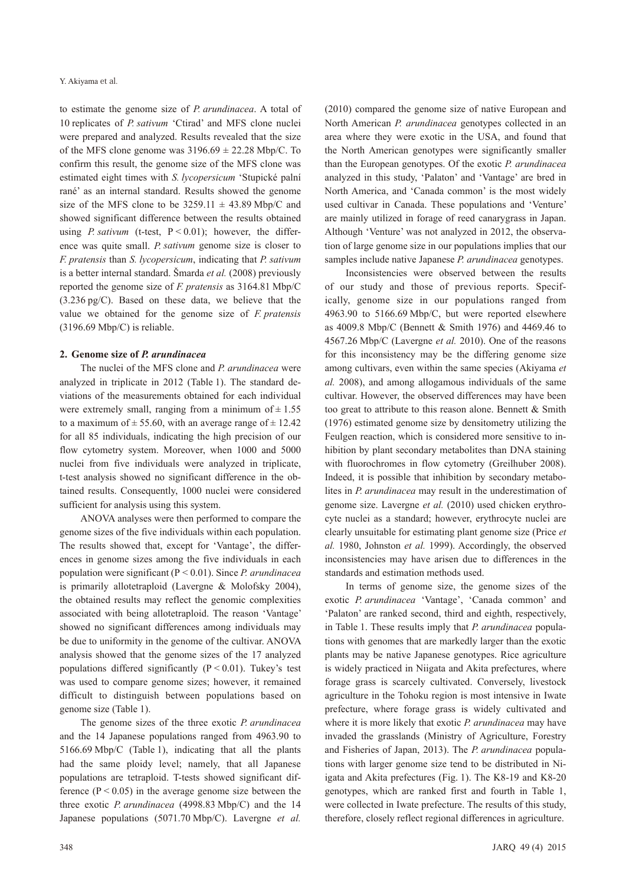to estimate the genome size of *P. arundinacea*. A total of 10 replicates of *P. sativum* 'Ctirad' and MFS clone nuclei were prepared and analyzed. Results revealed that the size of the MFS clone genome was  $3196.69 \pm 22.28$  Mbp/C. To confirm this result, the genome size of the MFS clone was estimated eight times with *S. lycopersicum* 'Stupické palní rané' as an internal standard. Results showed the genome size of the MFS clone to be  $3259.11 \pm 43.89$  Mbp/C and showed significant difference between the results obtained using *P. sativum* (t-test,  $P < 0.01$ ); however, the difference was quite small. *P. sativum* genome size is closer to *F. pratensis* than *S. lycopersicum*, indicating that *P. sativum* is a better internal standard. Šmarda *et al.* (2008) previously reported the genome size of *F. pratensis* as 3164.81 Mbp/C (3.236 pg/C). Based on these data, we believe that the value we obtained for the genome size of *F. pratensis* (3196.69 Mbp/C) is reliable.

# **2. Genome size of** *P. arundinacea*

The nuclei of the MFS clone and *P. arundinacea* were analyzed in triplicate in 2012 (Table 1). The standard deviations of the measurements obtained for each individual were extremely small, ranging from a minimum of  $\pm 1.55$ to a maximum of  $\pm$  55.60, with an average range of  $\pm$  12.42 for all 85 individuals, indicating the high precision of our flow cytometry system. Moreover, when 1000 and 5000 nuclei from five individuals were analyzed in triplicate, t-test analysis showed no significant difference in the obtained results. Consequently, 1000 nuclei were considered sufficient for analysis using this system.

ANOVA analyses were then performed to compare the genome sizes of the five individuals within each population. The results showed that, except for 'Vantage', the differences in genome sizes among the five individuals in each population were significant (P < 0.01). Since *P. arundinacea* is primarily allotetraploid (Lavergne & Molofsky 2004), the obtained results may reflect the genomic complexities associated with being allotetraploid. The reason 'Vantage' showed no significant differences among individuals may be due to uniformity in the genome of the cultivar. ANOVA analysis showed that the genome sizes of the 17 analyzed populations differed significantly  $(P < 0.01)$ . Tukey's test was used to compare genome sizes; however, it remained difficult to distinguish between populations based on genome size (Table 1).

The genome sizes of the three exotic *P. arundinacea* and the 14 Japanese populations ranged from 4963.90 to 5166.69 Mbp/C (Table 1), indicating that all the plants had the same ploidy level; namely, that all Japanese populations are tetraploid. T-tests showed significant difference  $(P < 0.05)$  in the average genome size between the three exotic *P. arundinacea* (4998.83 Mbp/C) and the 14 Japanese populations (5071.70 Mbp/C). Lavergne *et al.* (2010) compared the genome size of native European and North American *P. arundinacea* genotypes collected in an area where they were exotic in the USA, and found that the North American genotypes were significantly smaller than the European genotypes. Of the exotic *P. arundinacea* analyzed in this study, 'Palaton' and 'Vantage' are bred in North America, and 'Canada common' is the most widely used cultivar in Canada. These populations and 'Venture' are mainly utilized in forage of reed canarygrass in Japan. Although 'Venture' was not analyzed in 2012, the observation of large genome size in our populations implies that our samples include native Japanese *P. arundinacea* genotypes.

Inconsistencies were observed between the results of our study and those of previous reports. Specifically, genome size in our populations ranged from 4963.90 to 5166.69 Mbp/C, but were reported elsewhere as 4009.8 Mbp/C (Bennett & Smith 1976) and 4469.46 to 4567.26 Mbp/C (Lavergne *et al.* 2010). One of the reasons for this inconsistency may be the differing genome size among cultivars, even within the same species (Akiyama *et al.* 2008), and among allogamous individuals of the same cultivar. However, the observed differences may have been too great to attribute to this reason alone. Bennett & Smith (1976) estimated genome size by densitometry utilizing the Feulgen reaction, which is considered more sensitive to inhibition by plant secondary metabolites than DNA staining with fluorochromes in flow cytometry (Greilhuber 2008). Indeed, it is possible that inhibition by secondary metabolites in *P. arundinacea* may result in the underestimation of genome size. Lavergne *et al.* (2010) used chicken erythrocyte nuclei as a standard; however, erythrocyte nuclei are clearly unsuitable for estimating plant genome size (Price *et al.* 1980, Johnston *et al.* 1999). Accordingly, the observed inconsistencies may have arisen due to differences in the standards and estimation methods used.

In terms of genome size, the genome sizes of the exotic *P. arundinacea* 'Vantage', 'Canada common' and 'Palaton' are ranked second, third and eighth, respectively, in Table 1. These results imply that *P. arundinacea* populations with genomes that are markedly larger than the exotic plants may be native Japanese genotypes. Rice agriculture is widely practiced in Niigata and Akita prefectures, where forage grass is scarcely cultivated. Conversely, livestock agriculture in the Tohoku region is most intensive in Iwate prefecture, where forage grass is widely cultivated and where it is more likely that exotic *P. arundinacea* may have invaded the grasslands (Ministry of Agriculture, Forestry and Fisheries of Japan, 2013). The *P. arundinacea* populations with larger genome size tend to be distributed in Niigata and Akita prefectures (Fig. 1). The K8-19 and K8-20 genotypes, which are ranked first and fourth in Table 1, were collected in Iwate prefecture. The results of this study, therefore, closely reflect regional differences in agriculture.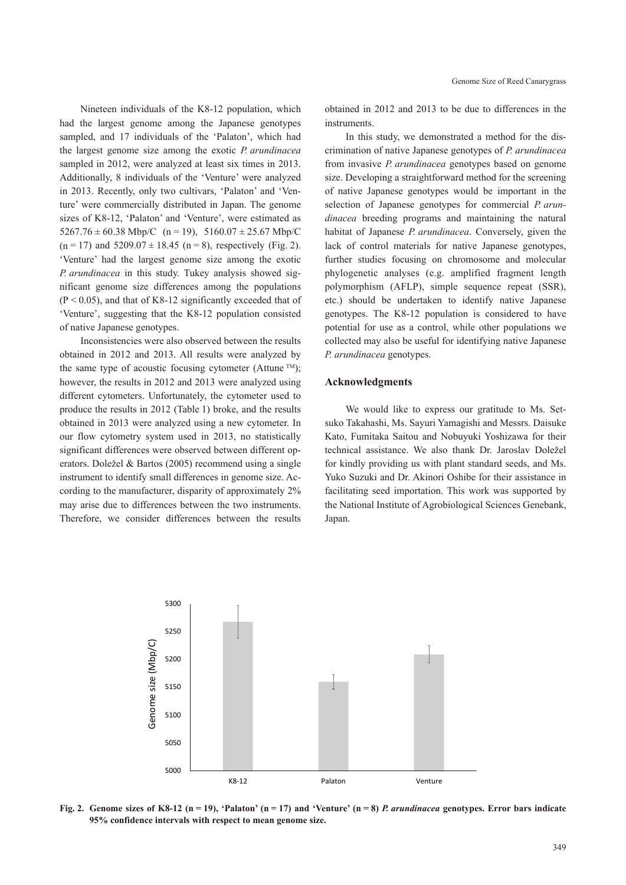Nineteen individuals of the K8-12 population, which had the largest genome among the Japanese genotypes sampled, and 17 individuals of the 'Palaton', which had the largest genome size among the exotic *P. arundinacea* sampled in 2012, were analyzed at least six times in 2013. Additionally, 8 individuals of the 'Venture' were analyzed in 2013. Recently, only two cultivars, 'Palaton' and 'Venture' were commercially distributed in Japan. The genome sizes of K8-12, 'Palaton' and 'Venture', were estimated as  $5267.76 \pm 60.38$  Mbp/C (n = 19),  $5160.07 \pm 25.67$  Mbp/C  $(n = 17)$  and  $5209.07 \pm 18.45$   $(n = 8)$ , respectively (Fig. 2). 'Venture' had the largest genome size among the exotic *P. arundinacea* in this study. Tukey analysis showed significant genome size differences among the populations  $(P < 0.05)$ , and that of K8-12 significantly exceeded that of 'Venture', suggesting that the K8-12 population consisted of native Japanese genotypes.

Inconsistencies were also observed between the results obtained in 2012 and 2013. All results were analyzed by the same type of acoustic focusing cytometer (Attune  $TM$ ); however, the results in 2012 and 2013 were analyzed using different cytometers. Unfortunately, the cytometer used to produce the results in 2012 (Table 1) broke, and the results obtained in 2013 were analyzed using a new cytometer. In our flow cytometry system used in 2013, no statistically significant differences were observed between different operators. Doležel & Bartos (2005) recommend using a single instrument to identify small differences in genome size. According to the manufacturer, disparity of approximately 2% may arise due to differences between the two instruments. Therefore, we consider differences between the results

obtained in 2012 and 2013 to be due to differences in the instruments.

In this study, we demonstrated a method for the discrimination of native Japanese genotypes of *P. arundinacea* from invasive *P. arundinacea* genotypes based on genome size. Developing a straightforward method for the screening of native Japanese genotypes would be important in the selection of Japanese genotypes for commercial *P. arundinacea* breeding programs and maintaining the natural habitat of Japanese *P. arundinacea*. Conversely, given the lack of control materials for native Japanese genotypes, further studies focusing on chromosome and molecular phylogenetic analyses (e.g. amplified fragment length polymorphism (AFLP), simple sequence repeat (SSR), etc.) should be undertaken to identify native Japanese genotypes. The K8-12 population is considered to have potential for use as a control, while other populations we collected may also be useful for identifying native Japanese *P. arundinacea* genotypes.

#### **Acknowledgments**

We would like to express our gratitude to Ms. Setsuko Takahashi, Ms. Sayuri Yamagishi and Messrs. Daisuke Kato, Fumitaka Saitou and Nobuyuki Yoshizawa for their technical assistance. We also thank Dr. Jaroslav Doležel for kindly providing us with plant standard seeds, and Ms. Yuko Suzuki and Dr. Akinori Oshibe for their assistance in facilitating seed importation. This work was supported by the National Institute of Agrobiological Sciences Genebank, Japan.



**Fig. 2.** Genome sizes of K8-12 (n = 19), 'Palaton' (n = 17) and 'Venture' (n = 8) *P. arundinacea* genotypes. Error bars indicate **95% confidence intervals with respect to mean genome size.**